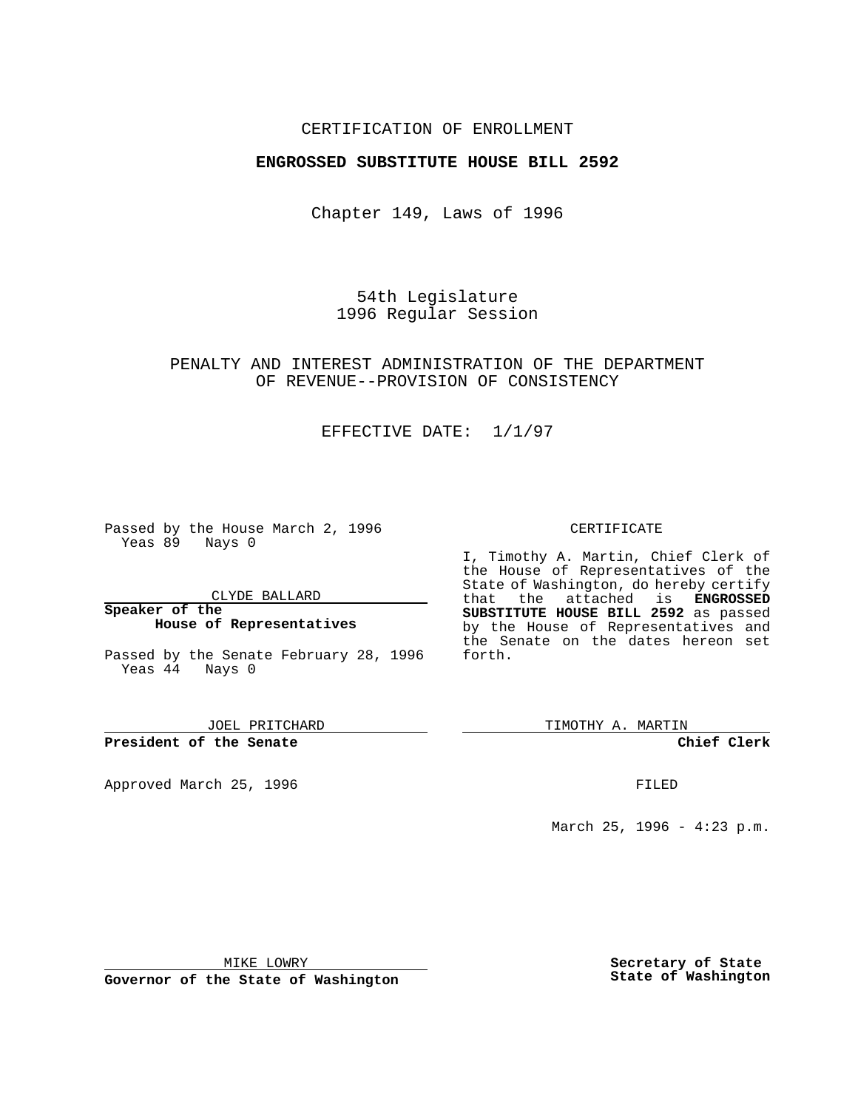### CERTIFICATION OF ENROLLMENT

### **ENGROSSED SUBSTITUTE HOUSE BILL 2592**

Chapter 149, Laws of 1996

54th Legislature 1996 Regular Session

### PENALTY AND INTEREST ADMINISTRATION OF THE DEPARTMENT OF REVENUE--PROVISION OF CONSISTENCY

### EFFECTIVE DATE: 1/1/97

Passed by the House March 2, 1996 Yeas 89 Nays 0

CLYDE BALLARD

#### **Speaker of the House of Representatives**

Passed by the Senate February 28, 1996 Yeas 44 Nays 0

JOEL PRITCHARD

**President of the Senate**

Approved March 25, 1996 FILED

#### CERTIFICATE

I, Timothy A. Martin, Chief Clerk of the House of Representatives of the State of Washington, do hereby certify that the attached is **ENGROSSED SUBSTITUTE HOUSE BILL 2592** as passed by the House of Representatives and the Senate on the dates hereon set forth.

TIMOTHY A. MARTIN

**Chief Clerk**

March 25, 1996 - 4:23 p.m.

MIKE LOWRY

**Governor of the State of Washington**

**Secretary of State State of Washington**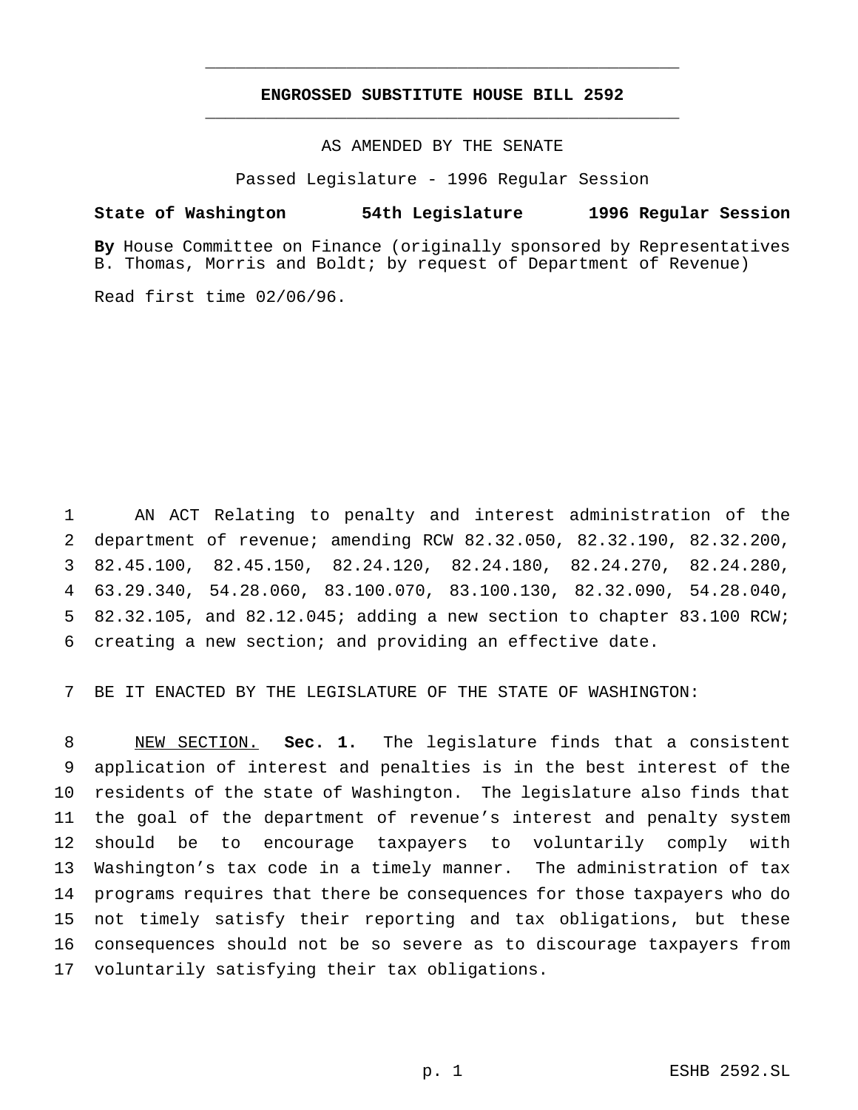## **ENGROSSED SUBSTITUTE HOUSE BILL 2592** \_\_\_\_\_\_\_\_\_\_\_\_\_\_\_\_\_\_\_\_\_\_\_\_\_\_\_\_\_\_\_\_\_\_\_\_\_\_\_\_\_\_\_\_\_\_\_

\_\_\_\_\_\_\_\_\_\_\_\_\_\_\_\_\_\_\_\_\_\_\_\_\_\_\_\_\_\_\_\_\_\_\_\_\_\_\_\_\_\_\_\_\_\_\_

AS AMENDED BY THE SENATE

Passed Legislature - 1996 Regular Session

#### **State of Washington 54th Legislature 1996 Regular Session**

**By** House Committee on Finance (originally sponsored by Representatives B. Thomas, Morris and Boldt; by request of Department of Revenue)

Read first time 02/06/96.

 AN ACT Relating to penalty and interest administration of the department of revenue; amending RCW 82.32.050, 82.32.190, 82.32.200, 82.45.100, 82.45.150, 82.24.120, 82.24.180, 82.24.270, 82.24.280, 63.29.340, 54.28.060, 83.100.070, 83.100.130, 82.32.090, 54.28.040, 82.32.105, and 82.12.045; adding a new section to chapter 83.100 RCW; creating a new section; and providing an effective date.

BE IT ENACTED BY THE LEGISLATURE OF THE STATE OF WASHINGTON:

 NEW SECTION. **Sec. 1.** The legislature finds that a consistent application of interest and penalties is in the best interest of the residents of the state of Washington. The legislature also finds that the goal of the department of revenue's interest and penalty system should be to encourage taxpayers to voluntarily comply with Washington's tax code in a timely manner. The administration of tax programs requires that there be consequences for those taxpayers who do not timely satisfy their reporting and tax obligations, but these consequences should not be so severe as to discourage taxpayers from voluntarily satisfying their tax obligations.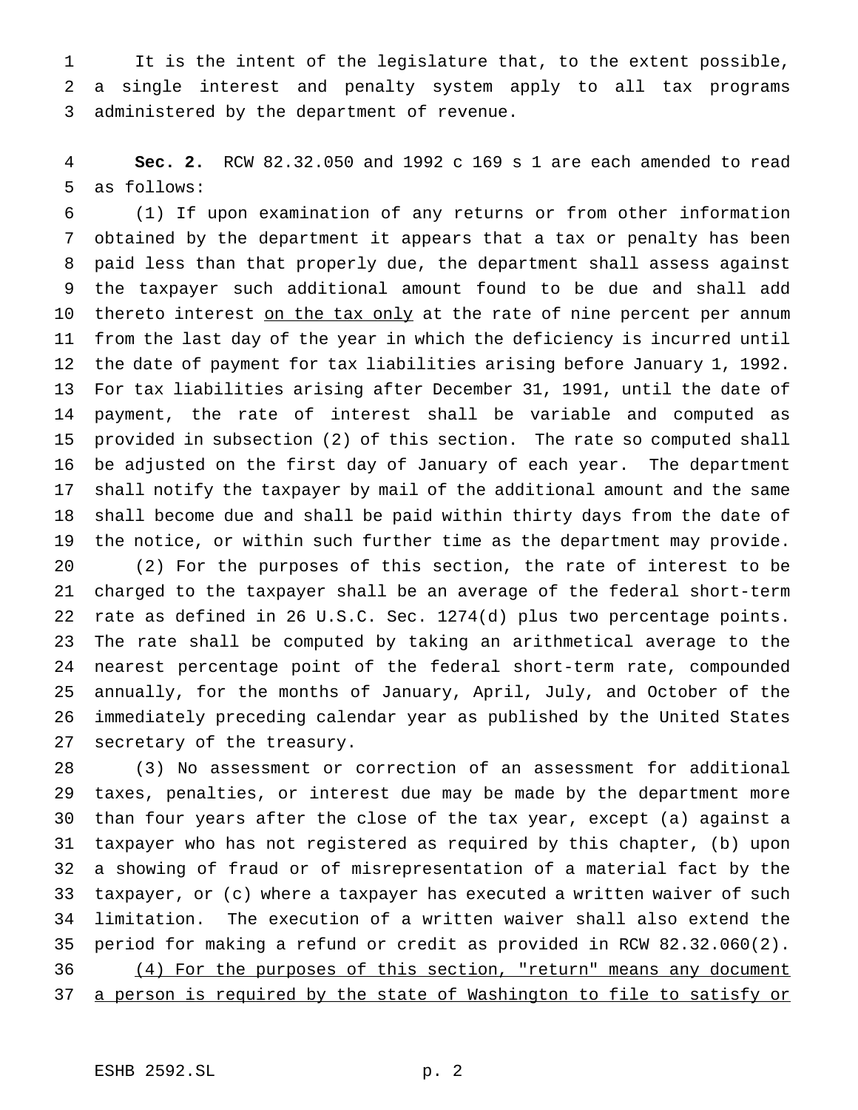It is the intent of the legislature that, to the extent possible, a single interest and penalty system apply to all tax programs administered by the department of revenue.

 **Sec. 2.** RCW 82.32.050 and 1992 c 169 s 1 are each amended to read as follows:

 (1) If upon examination of any returns or from other information obtained by the department it appears that a tax or penalty has been paid less than that properly due, the department shall assess against the taxpayer such additional amount found to be due and shall add 10 thereto interest on the tax only at the rate of nine percent per annum from the last day of the year in which the deficiency is incurred until the date of payment for tax liabilities arising before January 1, 1992. For tax liabilities arising after December 31, 1991, until the date of payment, the rate of interest shall be variable and computed as provided in subsection (2) of this section. The rate so computed shall be adjusted on the first day of January of each year. The department shall notify the taxpayer by mail of the additional amount and the same shall become due and shall be paid within thirty days from the date of the notice, or within such further time as the department may provide.

 (2) For the purposes of this section, the rate of interest to be charged to the taxpayer shall be an average of the federal short-term rate as defined in 26 U.S.C. Sec. 1274(d) plus two percentage points. The rate shall be computed by taking an arithmetical average to the nearest percentage point of the federal short-term rate, compounded annually, for the months of January, April, July, and October of the immediately preceding calendar year as published by the United States secretary of the treasury.

 (3) No assessment or correction of an assessment for additional taxes, penalties, or interest due may be made by the department more than four years after the close of the tax year, except (a) against a taxpayer who has not registered as required by this chapter, (b) upon a showing of fraud or of misrepresentation of a material fact by the taxpayer, or (c) where a taxpayer has executed a written waiver of such limitation. The execution of a written waiver shall also extend the period for making a refund or credit as provided in RCW 82.32.060(2). (4) For the purposes of this section, "return" means any document 37 a person is required by the state of Washington to file to satisfy or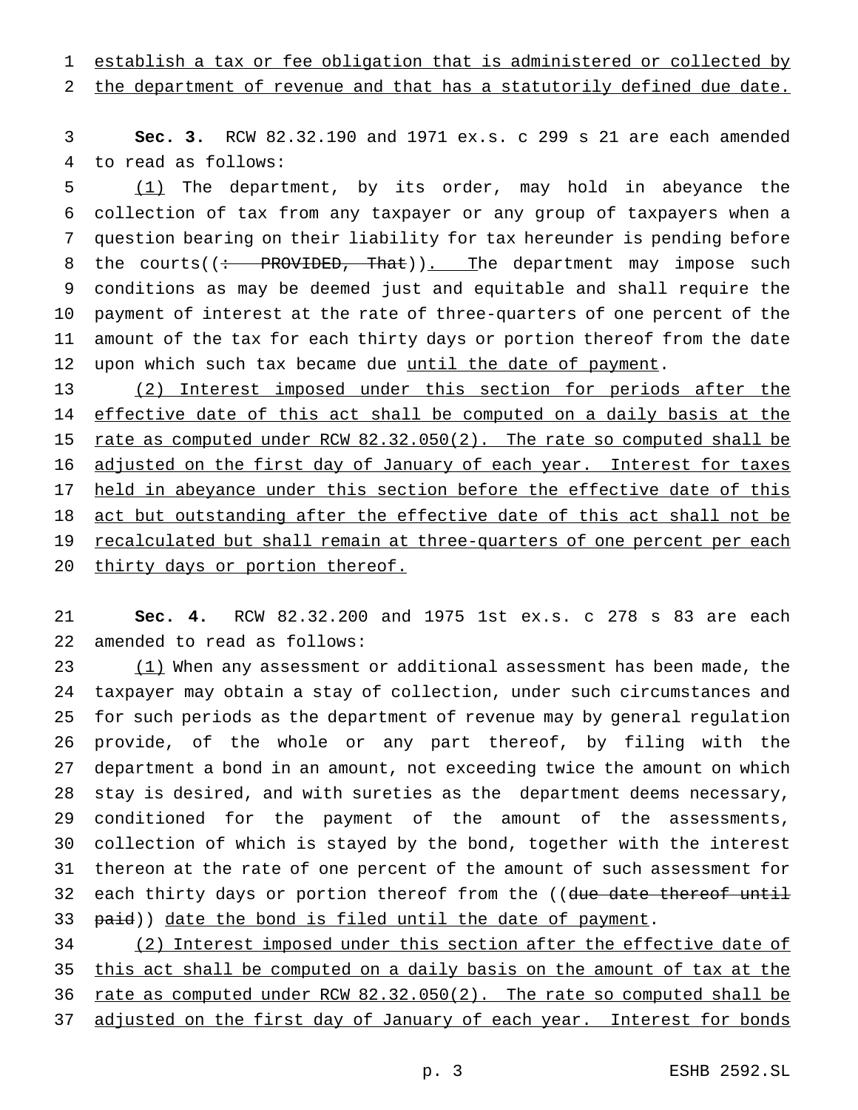# establish a tax or fee obligation that is administered or collected by

## the department of revenue and that has a statutorily defined due date.

 **Sec. 3.** RCW 82.32.190 and 1971 ex.s. c 299 s 21 are each amended to read as follows:

 (1) The department, by its order, may hold in abeyance the collection of tax from any taxpayer or any group of taxpayers when a question bearing on their liability for tax hereunder is pending before 8 the courts( $\left(\div\right)$  PROVIDED, That)). The department may impose such conditions as may be deemed just and equitable and shall require the payment of interest at the rate of three-quarters of one percent of the amount of the tax for each thirty days or portion thereof from the date 12 upon which such tax became due until the date of payment.

13 (2) Interest imposed under this section for periods after the 14 effective date of this act shall be computed on a daily basis at the 15 rate as computed under RCW 82.32.050(2). The rate so computed shall be 16 adjusted on the first day of January of each year. Interest for taxes held in abeyance under this section before the effective date of this 18 act but outstanding after the effective date of this act shall not be recalculated but shall remain at three-quarters of one percent per each 20 thirty days or portion thereof.

 **Sec. 4.** RCW 82.32.200 and 1975 1st ex.s. c 278 s 83 are each amended to read as follows:

23 (1) When any assessment or additional assessment has been made, the taxpayer may obtain a stay of collection, under such circumstances and for such periods as the department of revenue may by general regulation provide, of the whole or any part thereof, by filing with the department a bond in an amount, not exceeding twice the amount on which stay is desired, and with sureties as the department deems necessary, conditioned for the payment of the amount of the assessments, collection of which is stayed by the bond, together with the interest thereon at the rate of one percent of the amount of such assessment for 32 each thirty days or portion thereof from the ((due date thereof until 33 paid)) date the bond is filed until the date of payment.

 (2) Interest imposed under this section after the effective date of 35 this act shall be computed on a daily basis on the amount of tax at the rate as computed under RCW 82.32.050(2). The rate so computed shall be 37 adjusted on the first day of January of each year. Interest for bonds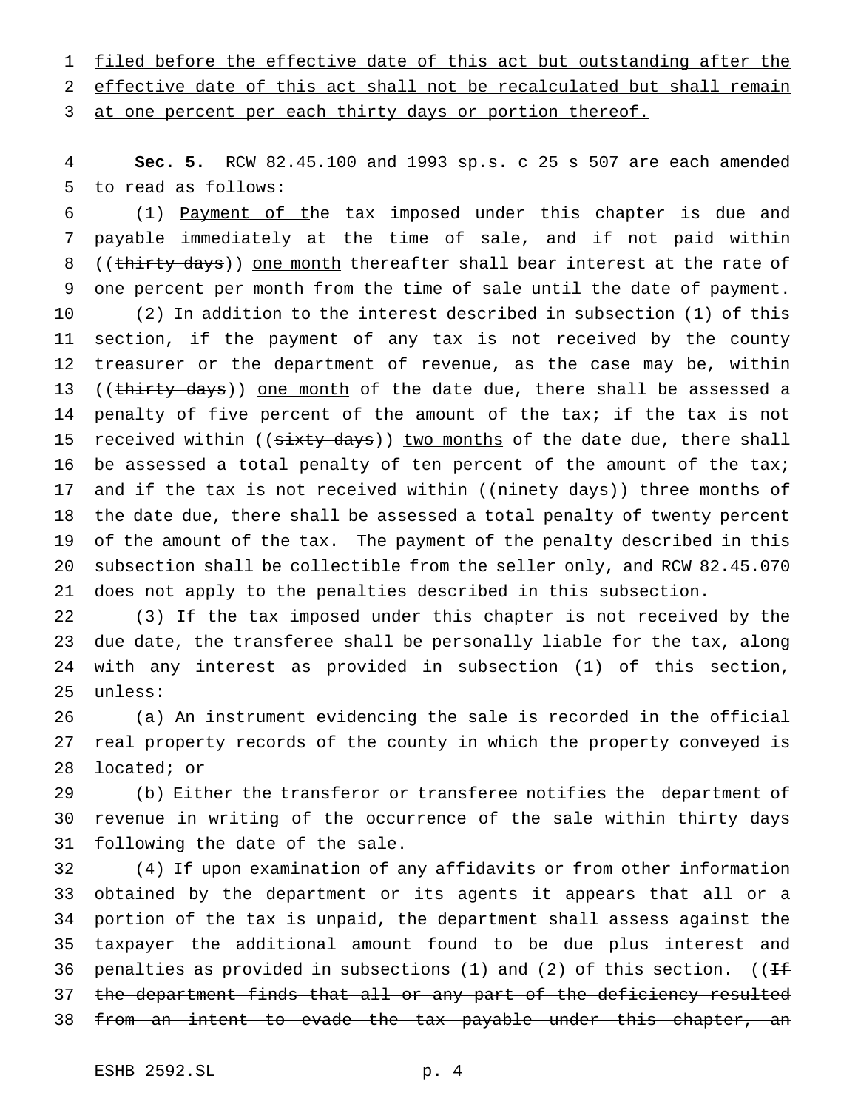1 filed before the effective date of this act but outstanding after the effective date of this act shall not be recalculated but shall remain 3 at one percent per each thirty days or portion thereof.

 **Sec. 5.** RCW 82.45.100 and 1993 sp.s. c 25 s 507 are each amended to read as follows:

 (1) Payment of the tax imposed under this chapter is due and payable immediately at the time of sale, and if not paid within 8 ((thirty days)) one month thereafter shall bear interest at the rate of one percent per month from the time of sale until the date of payment. (2) In addition to the interest described in subsection (1) of this section, if the payment of any tax is not received by the county treasurer or the department of revenue, as the case may be, within 13 ((thirty days)) one month of the date due, there shall be assessed a penalty of five percent of the amount of the tax; if the tax is not 15 received within ((sixty days)) two months of the date due, there shall 16 be assessed a total penalty of ten percent of the amount of the tax; 17 and if the tax is not received within ((ninety days)) three months of the date due, there shall be assessed a total penalty of twenty percent of the amount of the tax. The payment of the penalty described in this subsection shall be collectible from the seller only, and RCW 82.45.070 does not apply to the penalties described in this subsection.

 (3) If the tax imposed under this chapter is not received by the due date, the transferee shall be personally liable for the tax, along with any interest as provided in subsection (1) of this section, unless:

 (a) An instrument evidencing the sale is recorded in the official real property records of the county in which the property conveyed is located; or

 (b) Either the transferor or transferee notifies the department of revenue in writing of the occurrence of the sale within thirty days following the date of the sale.

 (4) If upon examination of any affidavits or from other information obtained by the department or its agents it appears that all or a portion of the tax is unpaid, the department shall assess against the taxpayer the additional amount found to be due plus interest and 36 penalties as provided in subsections (1) and (2) of this section. (( $H$ 37 the department finds that all or any part of the deficiency resulted 38 from an intent to evade the tax payable under this chapter, an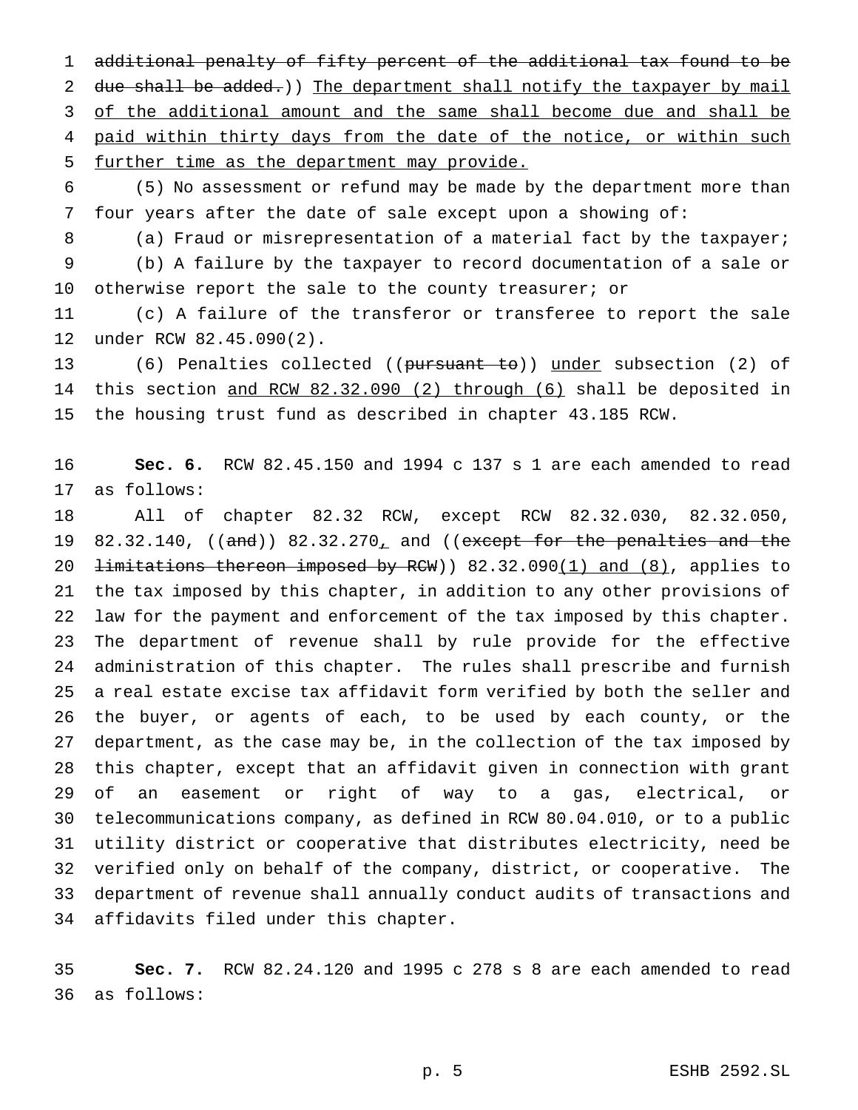additional penalty of fifty percent of the additional tax found to be 2 due shall be added.)) The department shall notify the taxpayer by mail 3 of the additional amount and the same shall become due and shall be 4 paid within thirty days from the date of the notice, or within such further time as the department may provide.

 (5) No assessment or refund may be made by the department more than four years after the date of sale except upon a showing of:

8 (a) Fraud or misrepresentation of a material fact by the taxpayer;

 (b) A failure by the taxpayer to record documentation of a sale or 10 otherwise report the sale to the county treasurer; or

 (c) A failure of the transferor or transferee to report the sale under RCW 82.45.090(2).

 (6) Penalties collected ((pursuant to)) under subsection (2) of this section and RCW 82.32.090 (2) through (6) shall be deposited in the housing trust fund as described in chapter 43.185 RCW.

 **Sec. 6.** RCW 82.45.150 and 1994 c 137 s 1 are each amended to read as follows:

 All of chapter 82.32 RCW, except RCW 82.32.030, 82.32.050, 19 82.32.140,  $((and))$  82.32.270, and  $((except for the penalties and the$ 20 <del>limitations thereon imposed by RCW</del>) 82.32.090(1) and (8), applies to the tax imposed by this chapter, in addition to any other provisions of law for the payment and enforcement of the tax imposed by this chapter. The department of revenue shall by rule provide for the effective administration of this chapter. The rules shall prescribe and furnish a real estate excise tax affidavit form verified by both the seller and the buyer, or agents of each, to be used by each county, or the department, as the case may be, in the collection of the tax imposed by this chapter, except that an affidavit given in connection with grant of an easement or right of way to a gas, electrical, or telecommunications company, as defined in RCW 80.04.010, or to a public utility district or cooperative that distributes electricity, need be verified only on behalf of the company, district, or cooperative. The department of revenue shall annually conduct audits of transactions and affidavits filed under this chapter.

 **Sec. 7.** RCW 82.24.120 and 1995 c 278 s 8 are each amended to read as follows: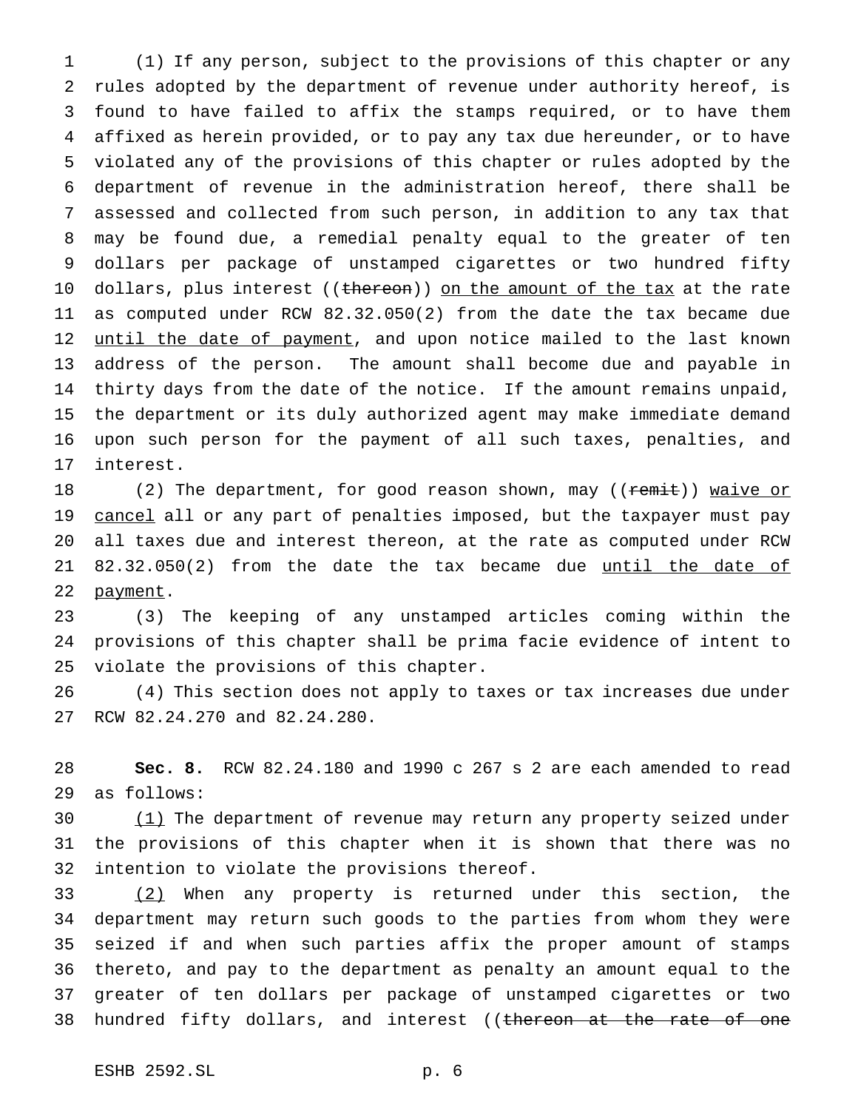(1) If any person, subject to the provisions of this chapter or any rules adopted by the department of revenue under authority hereof, is found to have failed to affix the stamps required, or to have them affixed as herein provided, or to pay any tax due hereunder, or to have violated any of the provisions of this chapter or rules adopted by the department of revenue in the administration hereof, there shall be assessed and collected from such person, in addition to any tax that may be found due, a remedial penalty equal to the greater of ten dollars per package of unstamped cigarettes or two hundred fifty 10 dollars, plus interest ((thereon)) on the amount of the tax at the rate as computed under RCW 82.32.050(2) from the date the tax became due 12 until the date of payment, and upon notice mailed to the last known address of the person. The amount shall become due and payable in thirty days from the date of the notice. If the amount remains unpaid, the department or its duly authorized agent may make immediate demand upon such person for the payment of all such taxes, penalties, and interest.

18 (2) The department, for good reason shown, may ((remit)) waive or 19 cancel all or any part of penalties imposed, but the taxpayer must pay all taxes due and interest thereon, at the rate as computed under RCW 21 82.32.050(2) from the date the tax became due until the date of 22 payment.

 (3) The keeping of any unstamped articles coming within the provisions of this chapter shall be prima facie evidence of intent to violate the provisions of this chapter.

 (4) This section does not apply to taxes or tax increases due under RCW 82.24.270 and 82.24.280.

 **Sec. 8.** RCW 82.24.180 and 1990 c 267 s 2 are each amended to read as follows:

30 (1) The department of revenue may return any property seized under the provisions of this chapter when it is shown that there was no intention to violate the provisions thereof.

33 (2) When any property is returned under this section, the department may return such goods to the parties from whom they were seized if and when such parties affix the proper amount of stamps thereto, and pay to the department as penalty an amount equal to the greater of ten dollars per package of unstamped cigarettes or two 38 hundred fifty dollars, and interest ((thereon at the rate of one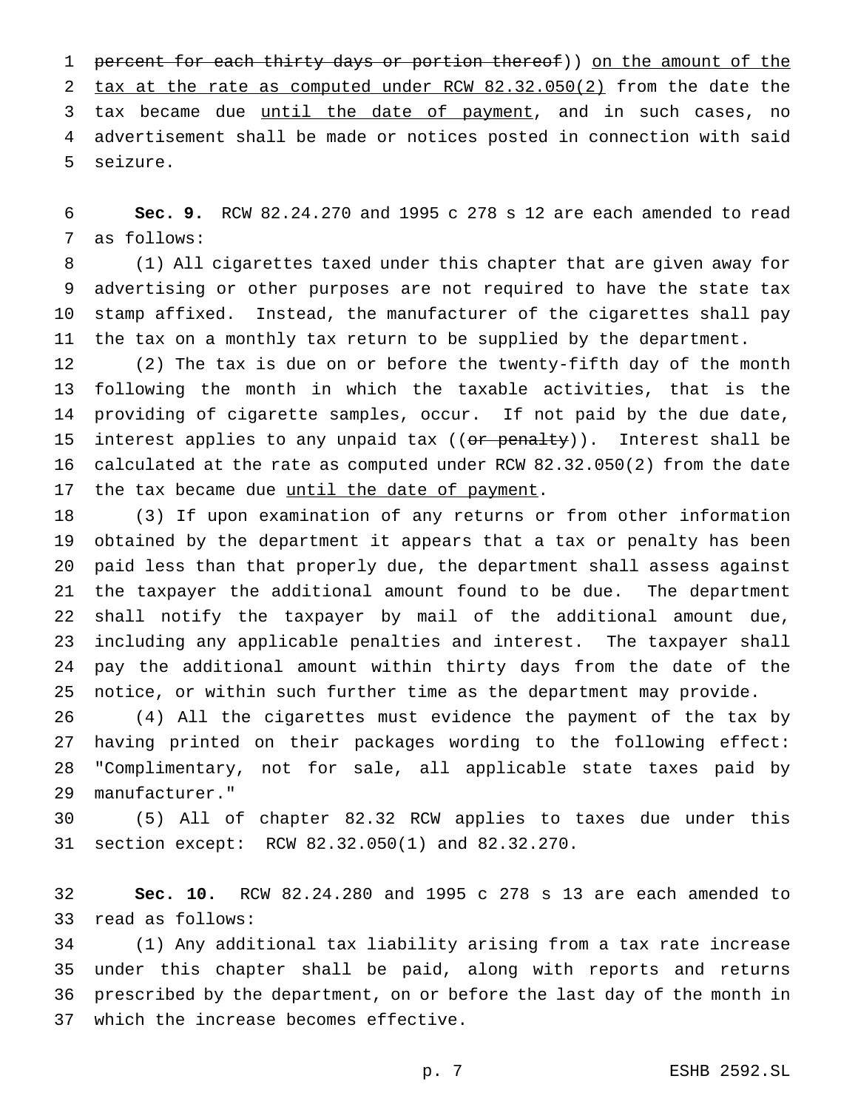1 percent for each thirty days or portion thereof)) on the amount of the 2 tax at the rate as computed under RCW 82.32.050(2) from the date the 3 tax became due until the date of payment, and in such cases, no advertisement shall be made or notices posted in connection with said seizure.

 **Sec. 9.** RCW 82.24.270 and 1995 c 278 s 12 are each amended to read as follows:

 (1) All cigarettes taxed under this chapter that are given away for advertising or other purposes are not required to have the state tax stamp affixed. Instead, the manufacturer of the cigarettes shall pay the tax on a monthly tax return to be supplied by the department.

 (2) The tax is due on or before the twenty-fifth day of the month following the month in which the taxable activities, that is the providing of cigarette samples, occur. If not paid by the due date, 15 interest applies to any unpaid tax  $((or penalty))$ . Interest shall be calculated at the rate as computed under RCW 82.32.050(2) from the date 17 the tax became due until the date of payment.

 (3) If upon examination of any returns or from other information obtained by the department it appears that a tax or penalty has been paid less than that properly due, the department shall assess against the taxpayer the additional amount found to be due. The department shall notify the taxpayer by mail of the additional amount due, including any applicable penalties and interest. The taxpayer shall pay the additional amount within thirty days from the date of the notice, or within such further time as the department may provide.

 (4) All the cigarettes must evidence the payment of the tax by having printed on their packages wording to the following effect: "Complimentary, not for sale, all applicable state taxes paid by manufacturer."

 (5) All of chapter 82.32 RCW applies to taxes due under this section except: RCW 82.32.050(1) and 82.32.270.

 **Sec. 10.** RCW 82.24.280 and 1995 c 278 s 13 are each amended to read as follows:

 (1) Any additional tax liability arising from a tax rate increase under this chapter shall be paid, along with reports and returns prescribed by the department, on or before the last day of the month in which the increase becomes effective.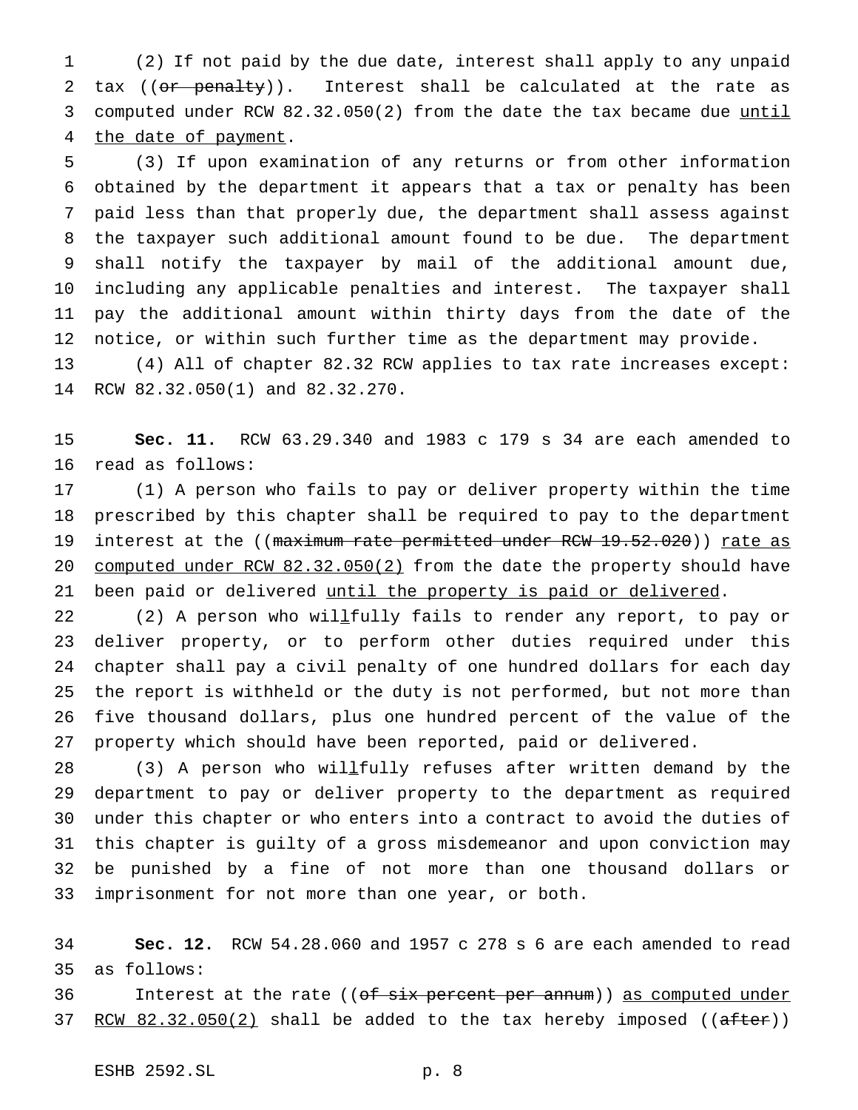(2) If not paid by the due date, interest shall apply to any unpaid 2 tax ((or penalty)). Interest shall be calculated at the rate as computed under RCW 82.32.050(2) from the date the tax became due until 4 the date of payment.

 (3) If upon examination of any returns or from other information obtained by the department it appears that a tax or penalty has been paid less than that properly due, the department shall assess against the taxpayer such additional amount found to be due. The department shall notify the taxpayer by mail of the additional amount due, including any applicable penalties and interest. The taxpayer shall pay the additional amount within thirty days from the date of the notice, or within such further time as the department may provide. (4) All of chapter 82.32 RCW applies to tax rate increases except:

RCW 82.32.050(1) and 82.32.270.

 **Sec. 11.** RCW 63.29.340 and 1983 c 179 s 34 are each amended to read as follows:

 (1) A person who fails to pay or deliver property within the time prescribed by this chapter shall be required to pay to the department 19 interest at the ((maximum rate permitted under RCW 19.52.020)) rate as 20 computed under RCW 82.32.050(2) from the date the property should have 21 been paid or delivered until the property is paid or delivered.

22 (2) A person who willetully fails to render any report, to pay or deliver property, or to perform other duties required under this chapter shall pay a civil penalty of one hundred dollars for each day the report is withheld or the duty is not performed, but not more than five thousand dollars, plus one hundred percent of the value of the property which should have been reported, paid or delivered.

28 (3) A person who willfully refuses after written demand by the department to pay or deliver property to the department as required under this chapter or who enters into a contract to avoid the duties of this chapter is guilty of a gross misdemeanor and upon conviction may be punished by a fine of not more than one thousand dollars or imprisonment for not more than one year, or both.

 **Sec. 12.** RCW 54.28.060 and 1957 c 278 s 6 are each amended to read as follows:

36 Interest at the rate ((of six percent per annum)) as computed under  $RCW 82.32.050(2)$  shall be added to the tax hereby imposed ((after))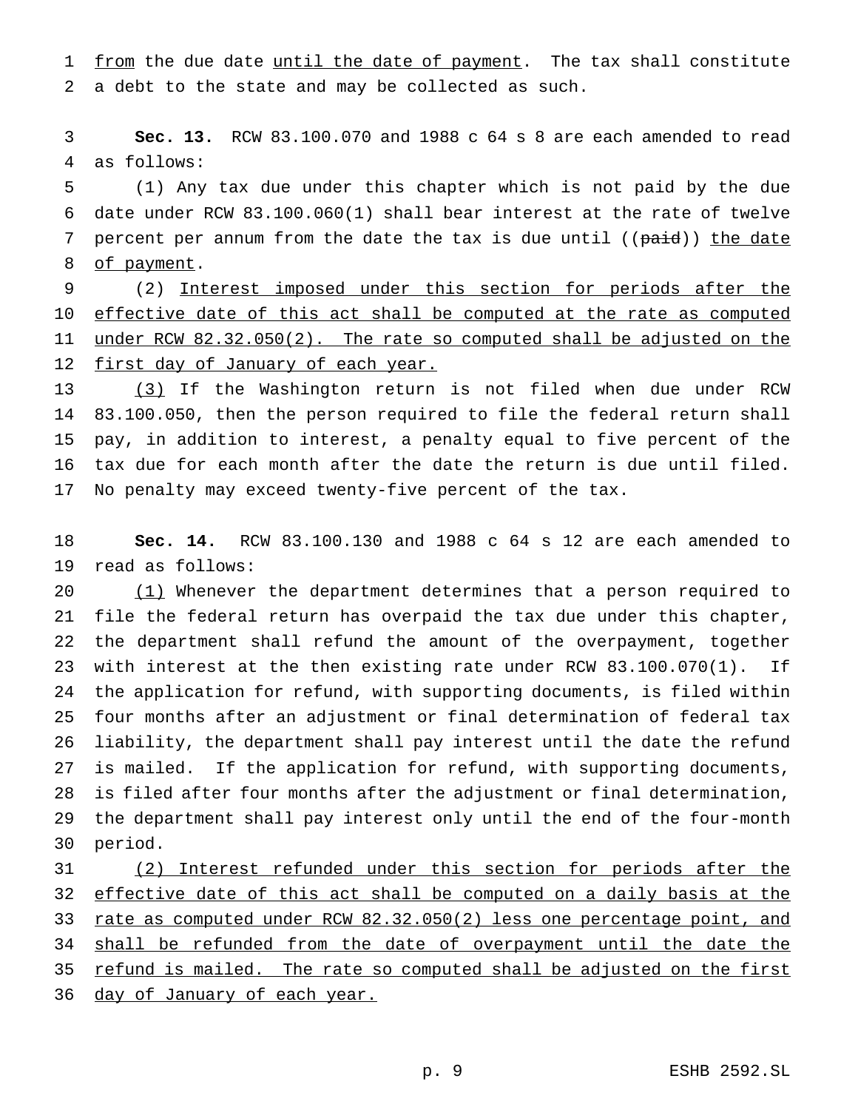1 from the due date until the date of payment. The tax shall constitute a debt to the state and may be collected as such.

 **Sec. 13.** RCW 83.100.070 and 1988 c 64 s 8 are each amended to read as follows:

 (1) Any tax due under this chapter which is not paid by the due date under RCW 83.100.060(1) shall bear interest at the rate of twelve 7 percent per annum from the date the tax is due until ((paid)) the date 8 of payment.

 (2) Interest imposed under this section for periods after the 10 effective date of this act shall be computed at the rate as computed under RCW 82.32.050(2). The rate so computed shall be adjusted on the 12 first day of January of each year.

 (3) If the Washington return is not filed when due under RCW 83.100.050, then the person required to file the federal return shall pay, in addition to interest, a penalty equal to five percent of the tax due for each month after the date the return is due until filed. No penalty may exceed twenty-five percent of the tax.

 **Sec. 14.** RCW 83.100.130 and 1988 c 64 s 12 are each amended to read as follows:

20 (1) Whenever the department determines that a person required to file the federal return has overpaid the tax due under this chapter, the department shall refund the amount of the overpayment, together with interest at the then existing rate under RCW 83.100.070(1). If the application for refund, with supporting documents, is filed within four months after an adjustment or final determination of federal tax liability, the department shall pay interest until the date the refund is mailed. If the application for refund, with supporting documents, is filed after four months after the adjustment or final determination, the department shall pay interest only until the end of the four-month period.

 (2) Interest refunded under this section for periods after the 32 effective date of this act shall be computed on a daily basis at the rate as computed under RCW 82.32.050(2) less one percentage point, and 34 shall be refunded from the date of overpayment until the date the 35 refund is mailed. The rate so computed shall be adjusted on the first 36 day of January of each year.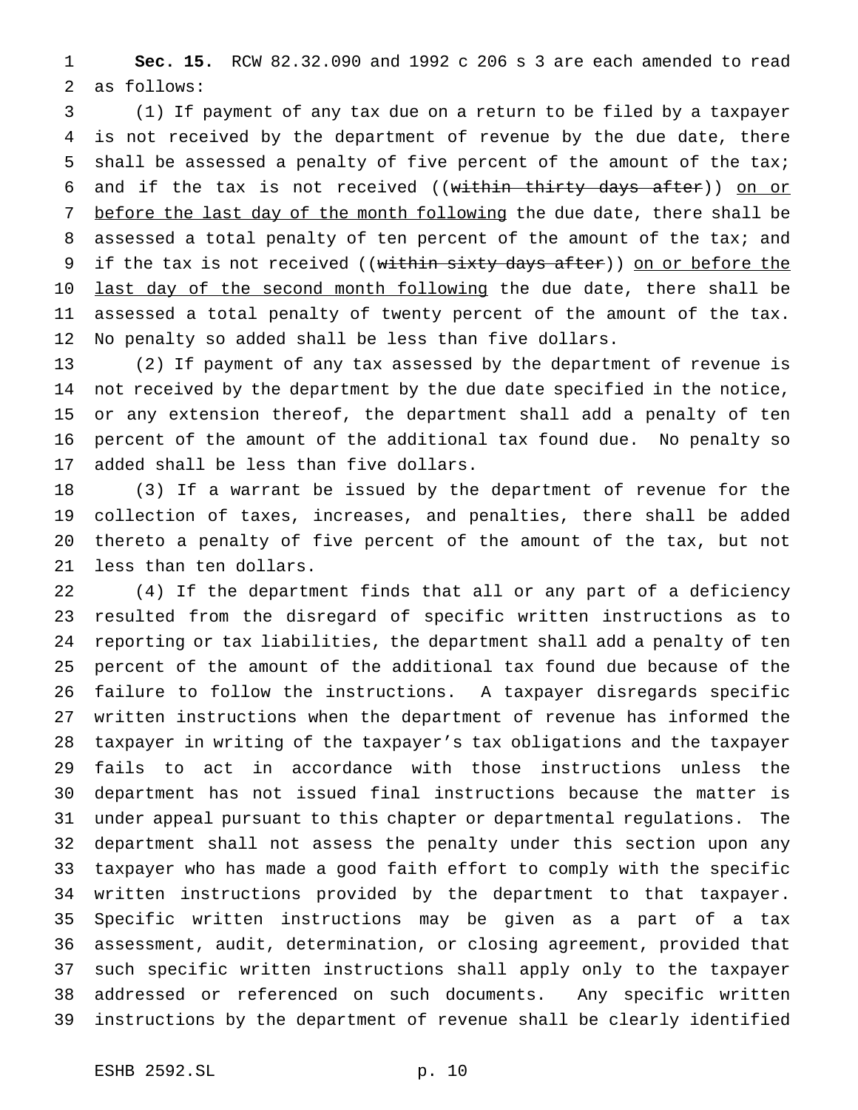**Sec. 15.** RCW 82.32.090 and 1992 c 206 s 3 are each amended to read as follows:

 (1) If payment of any tax due on a return to be filed by a taxpayer is not received by the department of revenue by the due date, there shall be assessed a penalty of five percent of the amount of the tax; 6 and if the tax is not received ((within thirty days after)) on or 7 before the last day of the month following the due date, there shall be 8 assessed a total penalty of ten percent of the amount of the tax; and 9 if the tax is not received ((within sixty days after)) on or before the 10 last day of the second month following the due date, there shall be assessed a total penalty of twenty percent of the amount of the tax. No penalty so added shall be less than five dollars.

 (2) If payment of any tax assessed by the department of revenue is not received by the department by the due date specified in the notice, or any extension thereof, the department shall add a penalty of ten percent of the amount of the additional tax found due. No penalty so added shall be less than five dollars.

 (3) If a warrant be issued by the department of revenue for the collection of taxes, increases, and penalties, there shall be added thereto a penalty of five percent of the amount of the tax, but not less than ten dollars.

 (4) If the department finds that all or any part of a deficiency resulted from the disregard of specific written instructions as to reporting or tax liabilities, the department shall add a penalty of ten percent of the amount of the additional tax found due because of the failure to follow the instructions. A taxpayer disregards specific written instructions when the department of revenue has informed the taxpayer in writing of the taxpayer's tax obligations and the taxpayer fails to act in accordance with those instructions unless the department has not issued final instructions because the matter is under appeal pursuant to this chapter or departmental regulations. The department shall not assess the penalty under this section upon any taxpayer who has made a good faith effort to comply with the specific written instructions provided by the department to that taxpayer. Specific written instructions may be given as a part of a tax assessment, audit, determination, or closing agreement, provided that such specific written instructions shall apply only to the taxpayer addressed or referenced on such documents. Any specific written instructions by the department of revenue shall be clearly identified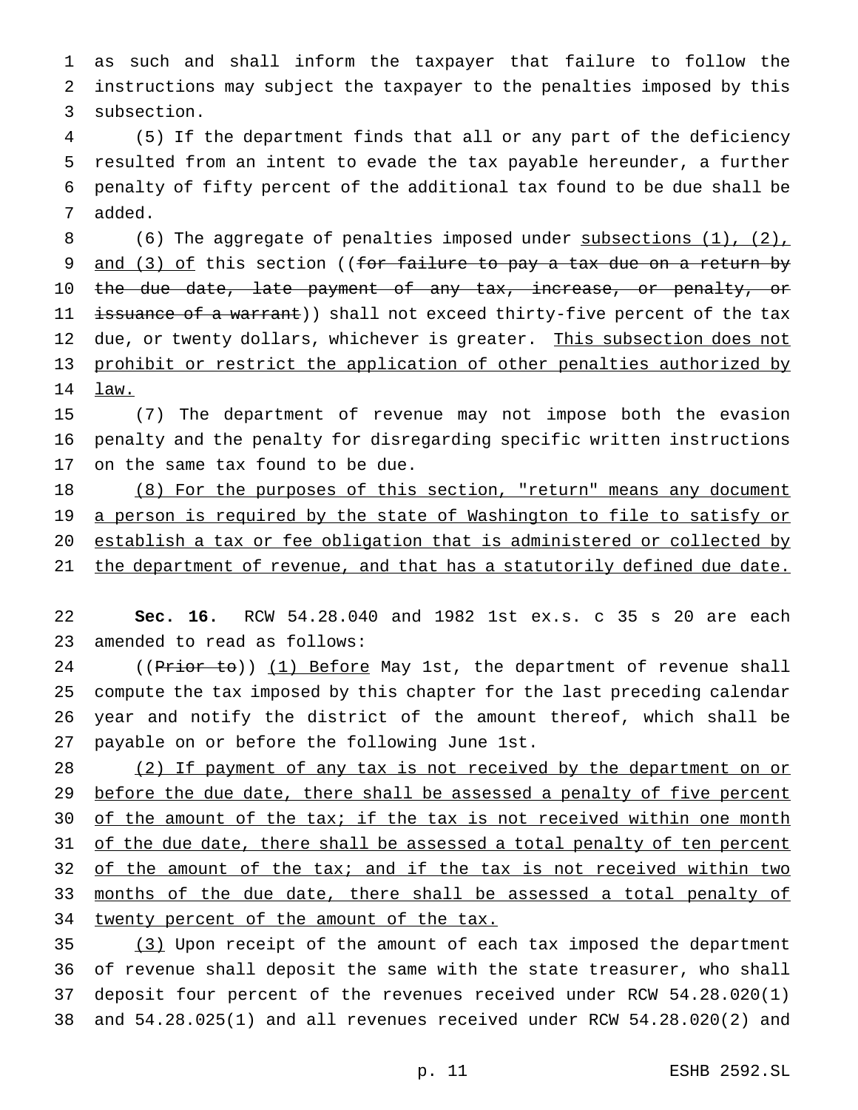1 as such and shall inform the taxpayer that failure to follow the 2 instructions may subject the taxpayer to the penalties imposed by this 3 subsection.

 (5) If the department finds that all or any part of the deficiency resulted from an intent to evade the tax payable hereunder, a further penalty of fifty percent of the additional tax found to be due shall be 7 added.

8 (6) The aggregate of penalties imposed under subsections (1), (2), 9 and (3) of this section ((for failure to pay a tax due on a return by 10 the due date, late payment of any tax, increase, or penalty, or 11 issuance of a warrant)) shall not exceed thirty-five percent of the tax 12 due, or twenty dollars, whichever is greater. This subsection does not 13 prohibit or restrict the application of other penalties authorized by 14 law.

15 (7) The department of revenue may not impose both the evasion 16 penalty and the penalty for disregarding specific written instructions 17 on the same tax found to be due.

18 (8) For the purposes of this section, "return" means any document 19 a person is required by the state of Washington to file to satisfy or 20 establish a tax or fee obligation that is administered or collected by 21 the department of revenue, and that has a statutorily defined due date.

22 **Sec. 16.** RCW 54.28.040 and 1982 1st ex.s. c 35 s 20 are each 23 amended to read as follows:

24 ((Prior to)) (1) Before May 1st, the department of revenue shall compute the tax imposed by this chapter for the last preceding calendar year and notify the district of the amount thereof, which shall be payable on or before the following June 1st.

28 (2) If payment of any tax is not received by the department on or 29 before the due date, there shall be assessed a penalty of five percent 30 of the amount of the tax; if the tax is not received within one month 31 of the due date, there shall be assessed a total penalty of ten percent 32 of the amount of the tax; and if the tax is not received within two 33 months of the due date, there shall be assessed a total penalty of 34 twenty percent of the amount of the tax.

35 (3) Upon receipt of the amount of each tax imposed the department of revenue shall deposit the same with the state treasurer, who shall deposit four percent of the revenues received under RCW 54.28.020(1) and 54.28.025(1) and all revenues received under RCW 54.28.020(2) and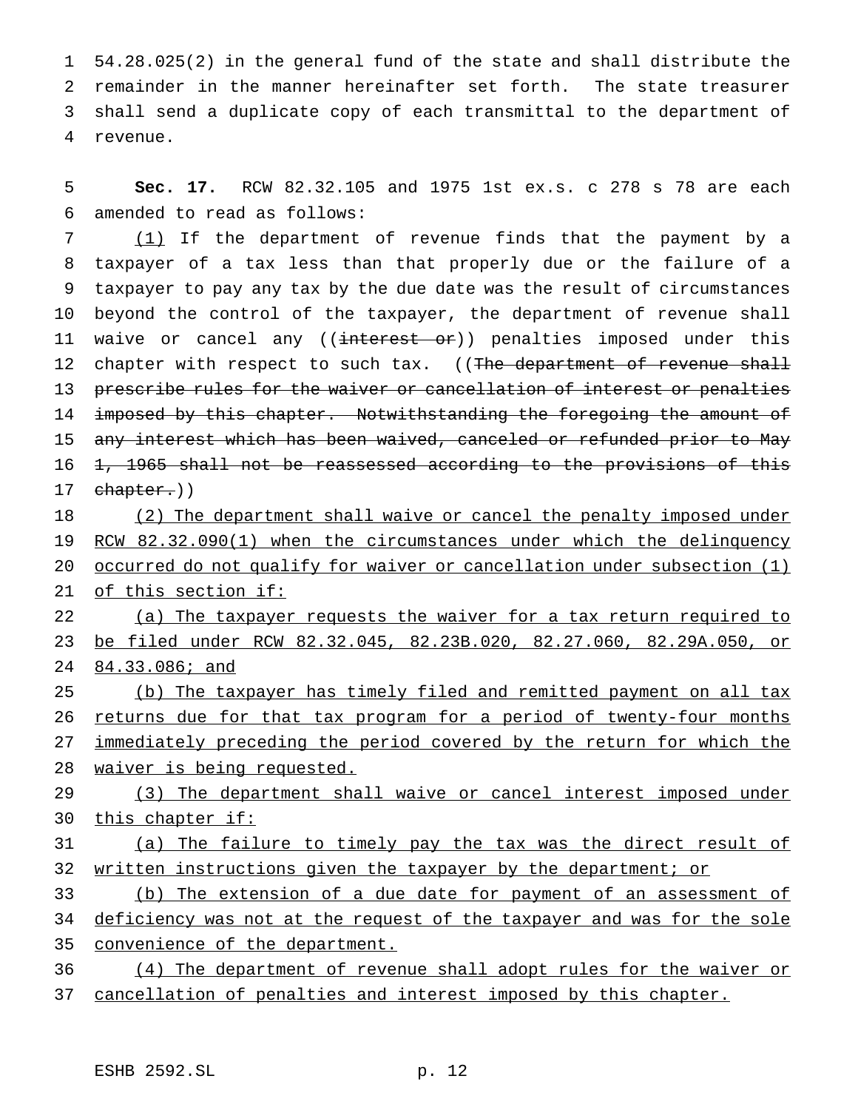54.28.025(2) in the general fund of the state and shall distribute the remainder in the manner hereinafter set forth. The state treasurer shall send a duplicate copy of each transmittal to the department of 4 revenue.

5 **Sec. 17.** RCW 82.32.105 and 1975 1st ex.s. c 278 s 78 are each 6 amended to read as follows:

7 (1) If the department of revenue finds that the payment by a 8 taxpayer of a tax less than that properly due or the failure of a 9 taxpayer to pay any tax by the due date was the result of circumstances 10 beyond the control of the taxpayer, the department of revenue shall 11 waive or cancel any ((interest or)) penalties imposed under this 12 chapter with respect to such tax. ((The department of revenue shall 13 prescribe rules for the waiver or cancellation of interest or penalties 14 imposed by this chapter. Notwithstanding the foregoing the amount of 15 any interest which has been waived, canceled or refunded prior to May 16 <del>1, 1965 shall not be reassessed according to the provisions of this</del> 17 chapter.))

18 (2) The department shall waive or cancel the penalty imposed under 19 RCW 82.32.090(1) when the circumstances under which the delinquency 20 occurred do not qualify for waiver or cancellation under subsection (1) 21 of this section if:

22 (a) The taxpayer requests the waiver for a tax return required to 23 be filed under RCW 82.32.045, 82.23B.020, 82.27.060, 82.29A.050, or 24 84.33.086; and

25 (b) The taxpayer has timely filed and remitted payment on all tax 26 returns due for that tax program for a period of twenty-four months 27 immediately preceding the period covered by the return for which the 28 waiver is being requested.

29 (3) The department shall waive or cancel interest imposed under 30 this chapter if:

31 (a) The failure to timely pay the tax was the direct result of 32 written instructions given the taxpayer by the department; or

33 (b) The extension of a due date for payment of an assessment of 34 deficiency was not at the request of the taxpayer and was for the sole 35 convenience of the department.

36 (4) The department of revenue shall adopt rules for the waiver or 37 cancellation of penalties and interest imposed by this chapter.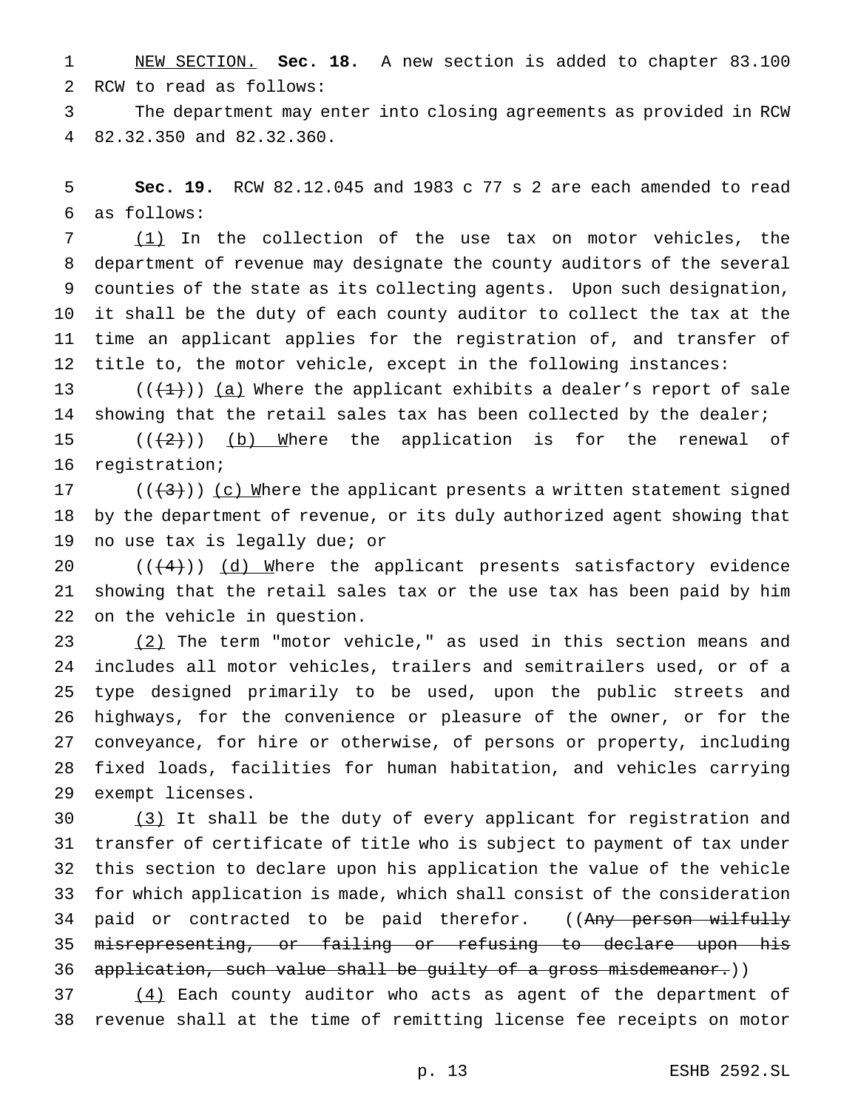NEW SECTION. **Sec. 18.** A new section is added to chapter 83.100 RCW to read as follows:

 The department may enter into closing agreements as provided in RCW 82.32.350 and 82.32.360.

 **Sec. 19.** RCW 82.12.045 and 1983 c 77 s 2 are each amended to read as follows:

 (1) In the collection of the use tax on motor vehicles, the department of revenue may designate the county auditors of the several counties of the state as its collecting agents. Upon such designation, it shall be the duty of each county auditor to collect the tax at the time an applicant applies for the registration of, and transfer of title to, the motor vehicle, except in the following instances:

13 ( $(\frac{1}{1})$ ) (a) Where the applicant exhibits a dealer's report of sale showing that the retail sales tax has been collected by the dealer; 15  $((+2))$  (b) Where the application is for the renewal of

registration;

17 ( $((+3))$  (c) Where the applicant presents a written statement signed by the department of revenue, or its duly authorized agent showing that no use tax is legally due; or

 $((+4))$   $(d)$  Where the applicant presents satisfactory evidence showing that the retail sales tax or the use tax has been paid by him on the vehicle in question.

 (2) The term "motor vehicle," as used in this section means and includes all motor vehicles, trailers and semitrailers used, or of a type designed primarily to be used, upon the public streets and highways, for the convenience or pleasure of the owner, or for the conveyance, for hire or otherwise, of persons or property, including fixed loads, facilities for human habitation, and vehicles carrying exempt licenses.

 (3) It shall be the duty of every applicant for registration and transfer of certificate of title who is subject to payment of tax under this section to declare upon his application the value of the vehicle for which application is made, which shall consist of the consideration 34 paid or contracted to be paid therefor. ((Any person wilfully misrepresenting, or failing or refusing to declare upon his 36 application, such value shall be guilty of a gross misdemeanor.))

 (4) Each county auditor who acts as agent of the department of revenue shall at the time of remitting license fee receipts on motor